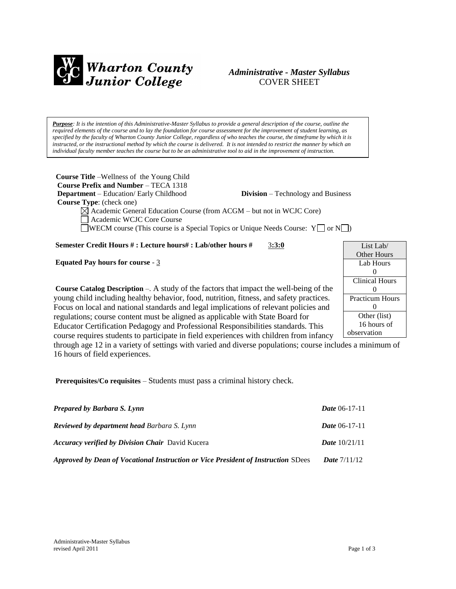

## *Administrative - Master Syllabus*  COVER SHEET

*Purpose: It is the intention of this Administrative-Master Syllabus to provide a general description of the course, outline the required elements of the course and to lay the foundation for course assessment for the improvement of student learning, as specified by the faculty of Wharton County Junior College, regardless of who teaches the course, the timeframe by which it is instructed, or the instructional method by which the course is delivered. It is not intended to restrict the manner by which an individual faculty member teaches the course but to be an administrative tool to aid in the improvement of instruction.*

**Course Title** –Wellness of the Young Child  **Course Prefix and Number** – TECA 1318 **Department** – Education/ Early Childhood **Division** – Technology and Business  **Course Type**: (check one)  $\boxtimes$  Academic General Education Course (from ACGM – but not in WCJC Core)

Academic WCJC Core Course

WECM course (This course is a Special Topics or Unique Needs Course:  $Y \Box$  or  $N \Box$ )

**Semester Credit Hours # : Lecture hours# : Lab/other hours #** 3**:3:0**

**Equated Pay hours for course** - 3

**Course Catalog Description** –. A study of the factors that impact the well-being of the young child including healthy behavior, food, nutrition, fitness, and safety practices. Focus on local and national standards and legal implications of relevant policies and regulations; course content must be aligned as applicable with State Board for Educator Certification Pedagogy and Professional Responsibilities standards. This course requires students to participate in field experiences with children from infancy

List Lab/ Other Hours Lab Hours  $\Omega$ Clinical Hours  $\Omega$ Practicum Hours  $\Omega$ Other (list) 16 hours of observation

through age 12 in a variety of settings with varied and diverse populations; course includes a minimum of 16 hours of field experiences.

**Prerequisites/Co requisites** – Students must pass a criminal history check.

| <b>Prepared by Barbara S. Lynn</b>                                                | <i>Date</i> $06-17-11$ |
|-----------------------------------------------------------------------------------|------------------------|
| <b>Reviewed by department head Barbara S. Lynn</b>                                | <i>Date</i> $06-17-11$ |
| <b>Accuracy verified by Division Chair</b> David Kucera                           | <b>Date</b> $10/21/11$ |
| Approved by Dean of Vocational Instruction or Vice President of Instruction SDees | <b>Date</b> $7/11/12$  |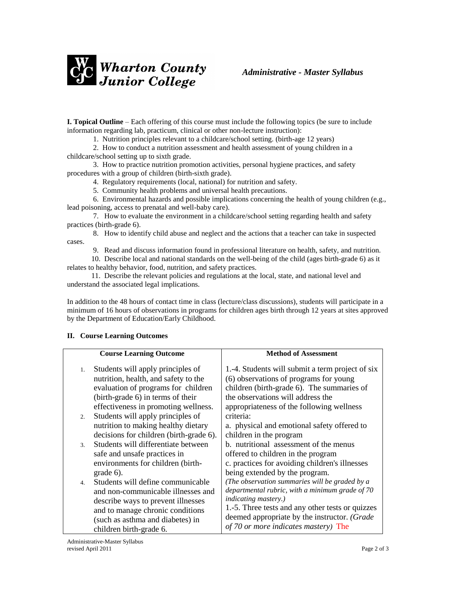

**I. Topical Outline** – Each offering of this course must include the following topics (be sure to include information regarding lab, practicum, clinical or other non-lecture instruction):

1. Nutrition principles relevant to a childcare/school setting. (birth-age 12 years)

 2. How to conduct a nutrition assessment and health assessment of young children in a childcare/school setting up to sixth grade.

 3. How to practice nutrition promotion activities, personal hygiene practices, and safety procedures with a group of children (birth-sixth grade).

4. Regulatory requirements (local, national) for nutrition and safety.

5. Community health problems and universal health precautions.

 6. Environmental hazards and possible implications concerning the health of young children (e.g., lead poisoning, access to prenatal and well-baby care).

 7. How to evaluate the environment in a childcare/school setting regarding health and safety practices (birth-grade 6).

 8. How to identify child abuse and neglect and the actions that a teacher can take in suspected cases.

9. Read and discuss information found in professional literature on health, safety, and nutrition.

 10. Describe local and national standards on the well-being of the child (ages birth-grade 6) as it relates to healthy behavior, food, nutrition, and safety practices.

 11. Describe the relevant policies and regulations at the local, state, and national level and understand the associated legal implications.

In addition to the 48 hours of contact time in class (lecture/class discussions), students will participate in a minimum of 16 hours of observations in programs for children ages birth through 12 years at sites approved by the Department of Education/Early Childhood.

| <b>Course Learning Outcome</b>                                                                                                                                                                                         | <b>Method of Assessment</b>                                                                                                                                                                                                                                                  |
|------------------------------------------------------------------------------------------------------------------------------------------------------------------------------------------------------------------------|------------------------------------------------------------------------------------------------------------------------------------------------------------------------------------------------------------------------------------------------------------------------------|
| Students will apply principles of<br>1.<br>nutrition, health, and safety to the<br>evaluation of programs for children<br>(birth-grade 6) in terms of their<br>effectiveness in promoting wellness.                    | 1.-4. Students will submit a term project of six<br>(6) observations of programs for young<br>children (birth-grade 6). The summaries of<br>the observations will address the<br>appropriateness of the following wellness                                                   |
| Students will apply principles of<br>2.<br>nutrition to making healthy dietary<br>decisions for children (birth-grade 6).                                                                                              | criteria:<br>a. physical and emotional safety offered to<br>children in the program                                                                                                                                                                                          |
| Students will differentiate between<br>$\mathcal{R}$<br>safe and unsafe practices in<br>environments for children (birth-<br>$grade 6$ ).                                                                              | b. nutritional assessment of the menus<br>offered to children in the program<br>c. practices for avoiding children's illnesses<br>being extended by the program.                                                                                                             |
| Students will define communicable<br>4.<br>and non-communicable illnesses and<br>describe ways to prevent illnesses<br>and to manage chronic conditions<br>(such as asthma and diabetes) in<br>children birth-grade 6. | (The observation summaries will be graded by a<br>departmental rubric, with a minimum grade of 70<br><i>indicating mastery.)</i><br>1.-5. Three tests and any other tests or quizzes<br>deemed appropriate by the instructor. (Grade<br>of 70 or more indicates mastery) The |

## **II. Course Learning Outcomes**